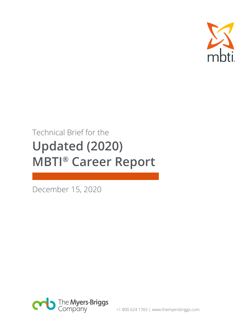

## Technical Brief for the **Updated (2020) MBTI® Career Report**

December 15, 2020

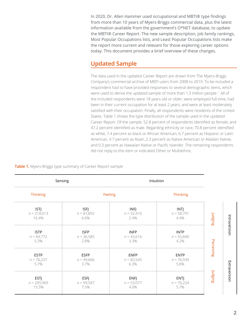In 2020, Dr. Allen Hammer used occupational and MBTI® type findings from more than 10 years of Myers-Briggs commercial data, plus the latest information available from the government's O\*NET database, to update the MBTI® Career Report. The new sample description, job family rankings, Most Popular Occupations lists, and Least Popular Occupations lists make the report more current and relevant for those exploring career options today. This document provides a brief overview of these changes.

## **Updated Sample**

The data used in the updated Career Report are drawn from The Myers-Briggs Company's commercial archive of MBTI users from 2008 to 2019. To be included a respondent had to have provided responses to several demographic items, which were used to derive the updated sample of more than 1.3 million people.<sup>1</sup> All of the included respondents were 18 years old or older, were employed full-time, had been in their current occupation for at least 2 years, and were at least moderately satisfied with their occupation. Finally, all respondents were residents of the United States. Table 1 shows the type distribution of the sample used in the updated Career Report. Of the sample, 52.8 percent of respondents identified as female, and 47.2 percent identified as male. Regarding ethnicity or race, 70.8 percent identified as white, 7.4 percent as black or African American, 6.7 percent as Hispanic or Latin American, 4.7 percent as Asian, 2.3 percent as Native American or Alaskan Native, and 0.3 percent as Hawaiian Native or Pacific Islander. The remaining respondents did not reply to this item or indicated Other or Multiethnic.

**Table 1.** Myers-Briggs type summary of Career Report sample

| Sensing                               |                                     | Intuition                              |                                     |            |              |
|---------------------------------------|-------------------------------------|----------------------------------------|-------------------------------------|------------|--------------|
| Thinking                              |                                     | Feeling                                | <b>Thinking</b>                     |            |              |
| <b>ISTJ</b><br>$n = 218,013$<br>16.4% | <b>ISFJ</b><br>$n = 87,892$<br>6.6% | <b>INFI</b><br>$n = 32,410$<br>$2.4\%$ | <b>INTJ</b><br>$n = 58,791$<br>4.4% | Judging    |              |
| <b>ISTP</b><br>$n = 69,772$<br>5.3%   | <b>ISFP</b><br>$n = 36,585$<br>2.8% | <b>INFP</b><br>$n = 43,616$<br>3.3%    | <b>INTP</b><br>$n = 55,840$<br>4.2% |            | Introversion |
| <b>ESTP</b><br>$n = 76,237$<br>5.7%   | <b>ESFP</b><br>$n = 49,666$<br>3.7% | <b>ENFP</b><br>$n = 83,545$<br>6.3%    | <b>ENTP</b><br>$n = 76,939$<br>5.8% | Perceiving |              |
| <b>ESTJ</b><br>$n = 205,969$<br>15.5% | <b>ESFJ</b><br>$n = 99,587$<br>7.5% | ENFJ<br>$n = 53,077$<br>4.0%           | <b>ENTJ</b><br>$n = 76,224$<br>5.7% | Judging    | Extraversion |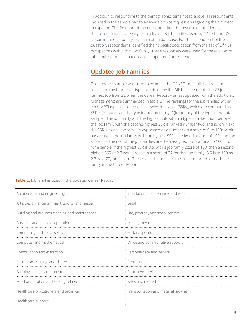In addition to responding to the demographic items noted above, all respondents included in the sample had to answer a two-part question regarding their current occupation. The first part of the question asked the respondent to identify their occupational category from a list of 23 job families used by O\*NET, the US Department of Labor's job classification database. For the second part of the question, respondents identified their specific occupation from the set of O\*NET occupations within that job family. These responses were used for the analysis of job families and occupations in the updated Career Report.

## **Updated Job Families**

The updated sample was used to examine the O\*NET job families in relation to each of the four-letter types identified by the MBTI assessment. The 23 job families (up from 22 when the Career Report was last updated, with the addition of Management) are summarized in table 2. The rankings for the job families within each MBTI type are based on self-selection ratios (SSRs), which are computed as SSR = (frequency of the type in this job family) / (frequency of the type in the total sample). The job family with the highest SSR within a type is ranked number one, the job family with the second-highest SSR is ranked number two, and so on. Next, the SSR for each job family is expressed as a number on a scale of 0 to 100: within a given type, the job family with the highest SSR is assigned a score of 100, and the scores for the rest of the job families are then assigned proportional to 100. So, for example, if the highest SSR is 3.5, with a job family score of 100, then a secondhighest SSR of 2.7 would result in a score of 77 for that job family (3.5 is to 100 as 2.7 is to 77), and so on. These scaled scores are the ones reported for each job family in the Career Report

**Table 2.** Job families used in the updated Career Report

| Architecture and engineering                   | Installation, maintenance, and repair |  |  |
|------------------------------------------------|---------------------------------------|--|--|
| Arts, design, entertainment, sports, and media | Legal                                 |  |  |
| Building and grounds cleaning and maintenance  | Life, physical, and social science    |  |  |
| Business and financial operations              | Management                            |  |  |
| Community and social service                   | Military specific                     |  |  |
| Computer and mathematical                      | Office and administrative support     |  |  |
| Construction and extraction                    | Personal care and service             |  |  |
| Education, training, and library               | Production                            |  |  |
| Farming, fishing, and forestry                 | Protective service                    |  |  |
| Food preparation and serving related           | Sales and related                     |  |  |
| Healthcare practitioners and technical         | Transportation and material moving    |  |  |
| Healthcare support                             |                                       |  |  |